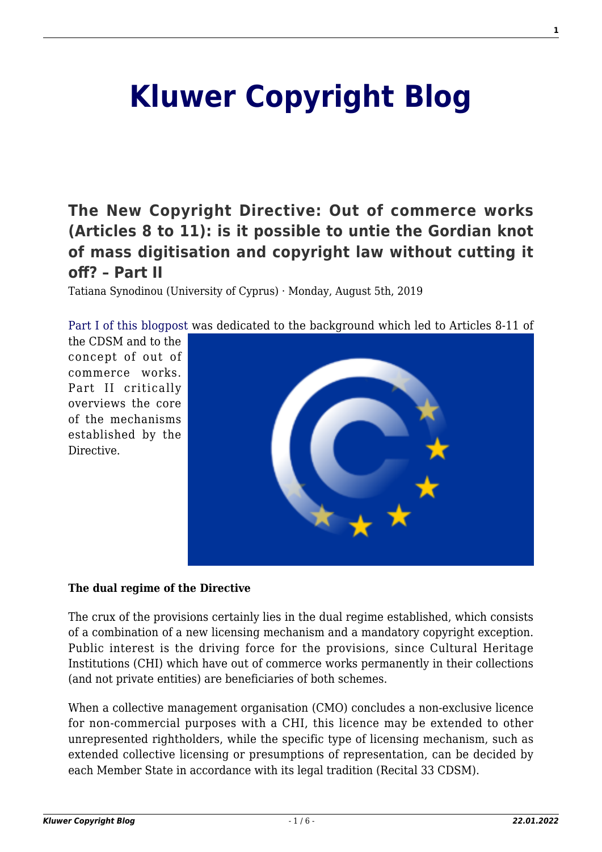## **[Kluwer Copyright Blog](http://copyrightblog.kluweriplaw.com/)**

**[The New Copyright Directive: Out of commerce works](http://copyrightblog.kluweriplaw.com/2019/08/05/the-new-copyright-directive-out-of-commerce-works-articles-8-to-11-is-it-possible-to-untie-the-gordian-knot-of-mass-digitisation-and-copyright-law-without-cutting-it-off-part-ii/) [\(Articles 8 to 11\): is it possible to untie the Gordian knot](http://copyrightblog.kluweriplaw.com/2019/08/05/the-new-copyright-directive-out-of-commerce-works-articles-8-to-11-is-it-possible-to-untie-the-gordian-knot-of-mass-digitisation-and-copyright-law-without-cutting-it-off-part-ii/) [of mass digitisation and copyright law without cutting it](http://copyrightblog.kluweriplaw.com/2019/08/05/the-new-copyright-directive-out-of-commerce-works-articles-8-to-11-is-it-possible-to-untie-the-gordian-knot-of-mass-digitisation-and-copyright-law-without-cutting-it-off-part-ii/) [off? – Part II](http://copyrightblog.kluweriplaw.com/2019/08/05/the-new-copyright-directive-out-of-commerce-works-articles-8-to-11-is-it-possible-to-untie-the-gordian-knot-of-mass-digitisation-and-copyright-law-without-cutting-it-off-part-ii/)**

Tatiana Synodinou (University of Cyprus) · Monday, August 5th, 2019

[Part I of this blogpost](http://copyrightblog.kluweriplaw.com/2019/07/29/the-new-copyright-directive-out-of-commerce-works-articles-8-to-11-is-it-possible-to-untie-the-gordian-knot-of-mass-digitisation-and-copyright-law-without-cutting-it-off-part-i/) was dedicated to the background which led to Articles 8-11 of

the CDSM and to the concept of out of commerce works. Part II critically overviews the core of the mechanisms established by the Directive.



## **The dual regime of the Directive**

The crux of the provisions certainly lies in the dual regime established, which consists of a combination of a new licensing mechanism and a mandatory copyright exception. Public interest is the driving force for the provisions, since Cultural Heritage Institutions (CHI) which have out of commerce works permanently in their collections (and not private entities) are beneficiaries of both schemes.

When a collective management organisation (CMO) concludes a non-exclusive licence for non-commercial purposes with a CHI, this licence may be extended to other unrepresented rightholders, while the specific type of licensing mechanism, such as extended collective licensing or presumptions of representation, can be decided by each Member State in accordance with its legal tradition (Recital 33 CDSM).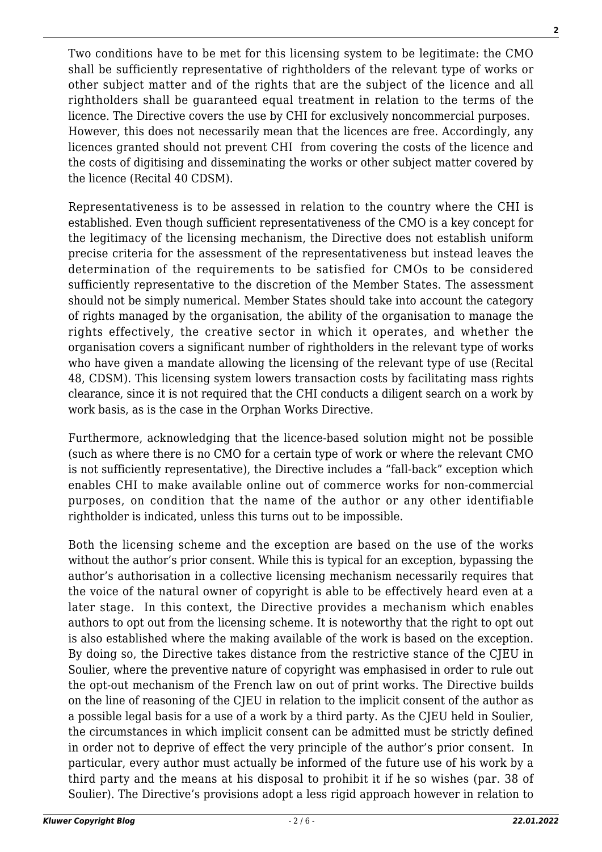Two conditions have to be met for this licensing system to be legitimate: the CMO shall be sufficiently representative of rightholders of the relevant type of works or other subject matter and of the rights that are the subject of the licence and all rightholders shall be guaranteed equal treatment in relation to the terms of the licence. The Directive covers the use by CHI for exclusively noncommercial purposes. However, this does not necessarily mean that the licences are free. Accordingly, any licences granted should not prevent CHI from covering the costs of the licence and the costs of digitising and disseminating the works or other subject matter covered by the licence (Recital 40 CDSM).

Representativeness is to be assessed in relation to the country where the CHI is established. Even though sufficient representativeness of the CMO is a key concept for the legitimacy of the licensing mechanism, the Directive does not establish uniform precise criteria for the assessment of the representativeness but instead leaves the determination of the requirements to be satisfied for CMOs to be considered sufficiently representative to the discretion of the Member States. The assessment should not be simply numerical. Member States should take into account the category of rights managed by the organisation, the ability of the organisation to manage the rights effectively, the creative sector in which it operates, and whether the organisation covers a significant number of rightholders in the relevant type of works who have given a mandate allowing the licensing of the relevant type of use (Recital 48, CDSM). This licensing system lowers transaction costs by facilitating mass rights clearance, since it is not required that the CHI conducts a diligent search on a work by work basis, as is the case in the Orphan Works Directive.

Furthermore, acknowledging that the licence-based solution might not be possible (such as where there is no CMO for a certain type of work or where the relevant CMO is not sufficiently representative), the Directive includes a "fall-back" exception which enables CHI to make available online out of commerce works for non-commercial purposes, on condition that the name of the author or any other identifiable rightholder is indicated, unless this turns out to be impossible.

Both the licensing scheme and the exception are based on the use of the works without the author's prior consent. While this is typical for an exception, bypassing the author's authorisation in a collective licensing mechanism necessarily requires that the voice of the natural owner of copyright is able to be effectively heard even at a later stage. In this context, the Directive provides a mechanism which enables authors to opt out from the licensing scheme. It is noteworthy that the right to opt out is also established where the making available of the work is based on the exception. By doing so, the Directive takes distance from the restrictive stance of the CJEU in Soulier, where the preventive nature of copyright was emphasised in order to rule out the opt-out mechanism of the French law on out of print works. The Directive builds on the line of reasoning of the CJEU in relation to the implicit consent of the author as a possible legal basis for a use of a work by a third party. As the CJEU held in Soulier, the circumstances in which implicit consent can be admitted must be strictly defined in order not to deprive of effect the very principle of the author's prior consent. In particular, every author must actually be informed of the future use of his work by a third party and the means at his disposal to prohibit it if he so wishes (par. 38 of Soulier). The Directive's provisions adopt a less rigid approach however in relation to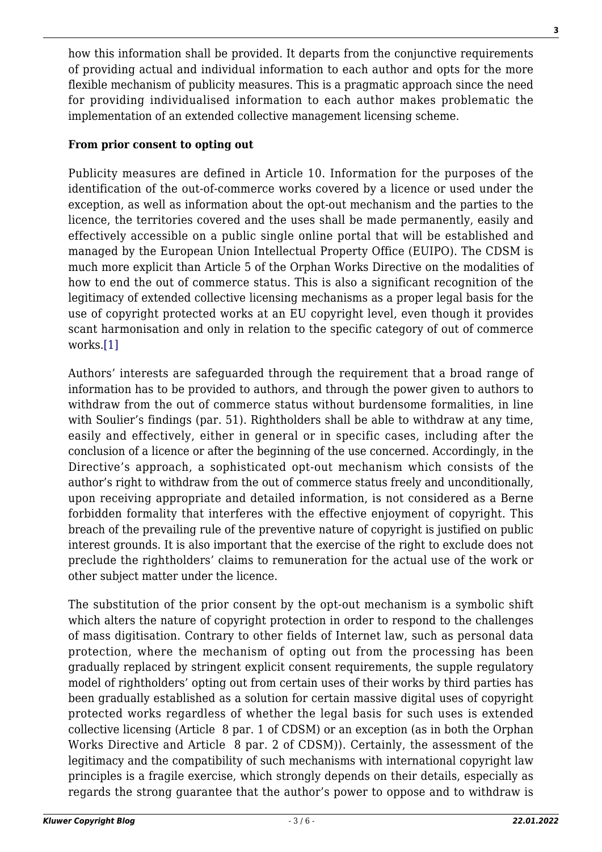how this information shall be provided. It departs from the conjunctive requirements of providing actual and individual information to each author and opts for the more flexible mechanism of publicity measures. This is a pragmatic approach since the need for providing individualised information to each author makes problematic the implementation of an extended collective management licensing scheme.

## **From prior consent to opting out**

Publicity measures are defined in Article 10. Information for the purposes of the identification of the out-of-commerce works covered by a licence or used under the exception, as well as information about the opt-out mechanism and the parties to the licence, the territories covered and the uses shall be made permanently, easily and effectively accessible on a public single online portal that will be established and managed by the European Union Intellectual Property Office (EUIPO). The CDSM is much more explicit than Article 5 of the Orphan Works Directive on the modalities of how to end the out of commerce status. This is also a significant recognition of the legitimacy of extended collective licensing mechanisms as a proper legal basis for the use of copyright protected works at an EU copyright level, even though it provides scant harmonisation and only in relation to the specific category of out of commerce works.[\[1\]](#page-3-0)

<span id="page-2-0"></span>Authors' interests are safeguarded through the requirement that a broad range of information has to be provided to authors, and through the power given to authors to withdraw from the out of commerce status without burdensome formalities, in line with Soulier's findings (par. 51). Rightholders shall be able to withdraw at any time, easily and effectively, either in general or in specific cases, including after the conclusion of a licence or after the beginning of the use concerned. Accordingly, in the Directive's approach, a sophisticated opt-out mechanism which consists of the author's right to withdraw from the out of commerce status freely and unconditionally, upon receiving appropriate and detailed information, is not considered as a Berne forbidden formality that interferes with the effective enjoyment of copyright. This breach of the prevailing rule of the preventive nature of copyright is justified on public interest grounds. It is also important that the exercise of the right to exclude does not preclude the rightholders' claims to remuneration for the actual use of the work or other subject matter under the licence.

The substitution of the prior consent by the opt-out mechanism is a symbolic shift which alters the nature of copyright protection in order to respond to the challenges of mass digitisation. Contrary to other fields of Internet law, such as personal data protection, where the mechanism of opting out from the processing has been gradually replaced by stringent explicit consent requirements, the supple regulatory model of rightholders' opting out from certain uses of their works by third parties has been gradually established as a solution for certain massive digital uses of copyright protected works regardless of whether the legal basis for such uses is extended collective licensing (Article 8 par. 1 of CDSM) or an exception (as in both the Orphan Works Directive and Article 8 par. 2 of CDSM)). Certainly, the assessment of the legitimacy and the compatibility of such mechanisms with international copyright law principles is a fragile exercise, which strongly depends on their details, especially as regards the strong guarantee that the author's power to oppose and to withdraw is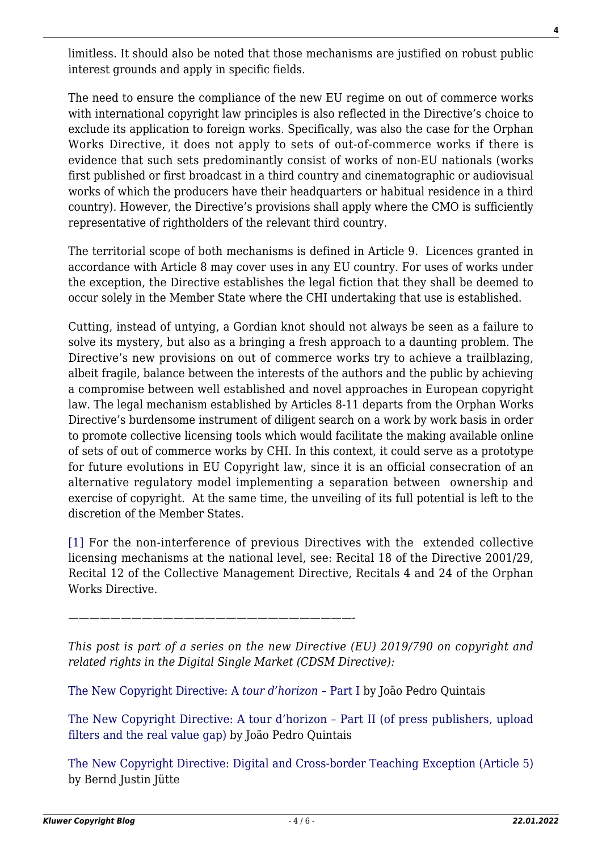limitless. It should also be noted that those mechanisms are justified on robust public interest grounds and apply in specific fields.

The need to ensure the compliance of the new EU regime on out of commerce works with international copyright law principles is also reflected in the Directive's choice to exclude its application to foreign works. Specifically, was also the case for the Orphan Works Directive, it does not apply to sets of out-of-commerce works if there is evidence that such sets predominantly consist of works of non-EU nationals (works first published or first broadcast in a third country and cinematographic or audiovisual works of which the producers have their headquarters or habitual residence in a third country). However, the Directive's provisions shall apply where the CMO is sufficiently representative of rightholders of the relevant third country.

The territorial scope of both mechanisms is defined in Article 9. Licences granted in accordance with Article 8 may cover uses in any EU country. For uses of works under the exception, the Directive establishes the legal fiction that they shall be deemed to occur solely in the Member State where the CHI undertaking that use is established.

Cutting, instead of untying, a Gordian knot should not always be seen as a failure to solve its mystery, but also as a bringing a fresh approach to a daunting problem. The Directive's new provisions on out of commerce works try to achieve a trailblazing, albeit fragile, balance between the interests of the authors and the public by achieving a compromise between well established and novel approaches in European copyright law. The legal mechanism established by Articles 8-11 departs from the Orphan Works Directive's burdensome instrument of diligent search on a work by work basis in order to promote collective licensing tools which would facilitate the making available online of sets of out of commerce works by CHI. In this context, it could serve as a prototype for future evolutions in EU Copyright law, since it is an official consecration of an alternative regulatory model implementing a separation between ownership and exercise of copyright. At the same time, the unveiling of its full potential is left to the discretion of the Member States.

<span id="page-3-0"></span>[\[1\]](#page-2-0) For the non-interference of previous Directives with the extended collective licensing mechanisms at the national level, see: Recital 18 of the Directive 2001/29, Recital 12 of the Collective Management Directive, Recitals 4 and 24 of the Orphan Works Directive.

*———————————————————————————-*

*This post is part of a series on the new Directive (EU) 2019/790 on copyright and related rights in the Digital Single Market (CDSM Directive):*

[The New Copyright Directive: A](http://copyrightblog.kluweriplaw.com/2019/06/07/the-new-copyright-directive-a-tour-dhorizon-part-i/) *[tour d'horizon –](http://copyrightblog.kluweriplaw.com/2019/06/07/the-new-copyright-directive-a-tour-dhorizon-part-i/)* [Part I](http://copyrightblog.kluweriplaw.com/2019/06/07/the-new-copyright-directive-a-tour-dhorizon-part-i/) by João Pedro Quintais

[The New Copyright Directive: A tour d'horizon – Part II \(of press publishers, upload](http://copyrightblog.kluweriplaw.com/2019/06/17/the-new-copyright-directive-a-tour-dhorizon-part-ii-of-press-publishers-upload-filters-and-the-real-value-gap/) [filters and the real value gap\)](http://copyrightblog.kluweriplaw.com/2019/06/17/the-new-copyright-directive-a-tour-dhorizon-part-ii-of-press-publishers-upload-filters-and-the-real-value-gap/) by João Pedro Quintais

[The New Copyright Directive: Digital and Cross-border Teaching Exception \(Article 5\)](http://copyrightblog.kluweriplaw.com/2019/06/21/the-new-copyright-directive-digital-and-cross-border-teaching-exception-article-5/) by Bernd Justin Jütte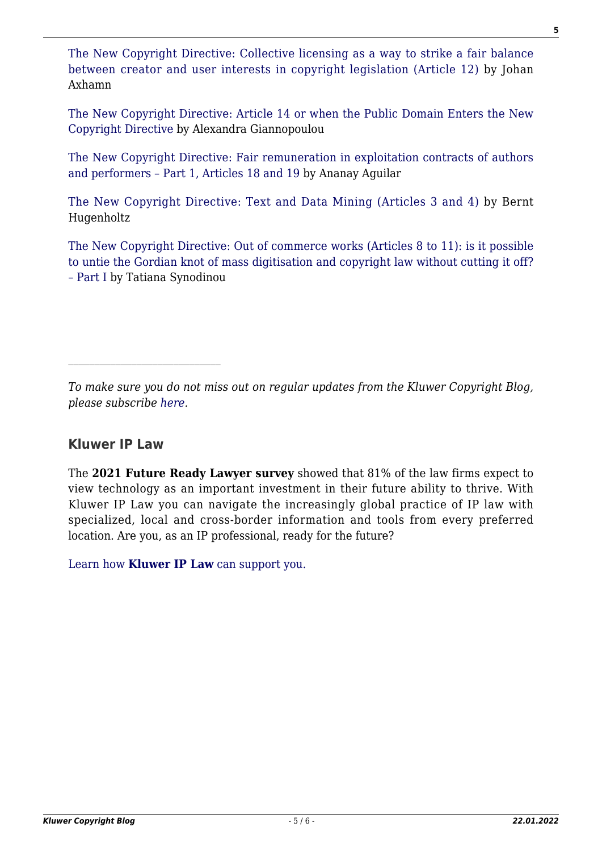[The New Copyright Directive: Collective licensing as a way to strike a fair balance](http://copyrightblog.kluweriplaw.com/2019/06/25/the-new-copyright-directive-collective-licensing-as-a-way-to-strike-a-fair-balance-between-creator-and-user-interests-in-copyright-legislation-article-12/) [between creator and user interests in copyright legislation \(Article 12\)](http://copyrightblog.kluweriplaw.com/2019/06/25/the-new-copyright-directive-collective-licensing-as-a-way-to-strike-a-fair-balance-between-creator-and-user-interests-in-copyright-legislation-article-12/) by Johan Axhamn

[The New Copyright Directive: Article 14 or when the Public Domain Enters the New](http://copyrightblog.kluweriplaw.com/2019/06/27/the-new-copyright-directive-article-14-or-when-the-public-domain-enters-the-new-copyright-directive/) [Copyright Directive](http://copyrightblog.kluweriplaw.com/2019/06/27/the-new-copyright-directive-article-14-or-when-the-public-domain-enters-the-new-copyright-directive/) by Alexandra Giannopoulou

[The New Copyright Directive: Fair remuneration in exploitation contracts of authors](http://copyrightblog.kluweriplaw.com/2019/07/15/the-new-copyright-directive-fair-remuneration-in-exploitation-contracts-of-authors-and-performers-part-1-articles-18-and-19/) [and performers – Part 1, Articles 18 and 19](http://copyrightblog.kluweriplaw.com/2019/07/15/the-new-copyright-directive-fair-remuneration-in-exploitation-contracts-of-authors-and-performers-part-1-articles-18-and-19/) by Ananay Aguilar

[The New Copyright Directive: Text and Data Mining \(Articles 3 and 4\)](http://copyrightblog.kluweriplaw.com/2019/07/24/the-new-copyright-directive-text-and-data-mining-articles-3-and-4/) by Bernt Hugenholtz

[The New Copyright Directive: Out of commerce works \(Articles 8 to 11\): is it possible](http://copyrightblog.kluweriplaw.com/2019/07/29/the-new-copyright-directive-out-of-commerce-works-articles-8-to-11-is-it-possible-to-untie-the-gordian-knot-of-mass-digitisation-and-copyright-law-without-cutting-it-off-part-i/) [to untie the Gordian knot of mass digitisation and copyright law without cutting it off?](http://copyrightblog.kluweriplaw.com/2019/07/29/the-new-copyright-directive-out-of-commerce-works-articles-8-to-11-is-it-possible-to-untie-the-gordian-knot-of-mass-digitisation-and-copyright-law-without-cutting-it-off-part-i/) [– Part I](http://copyrightblog.kluweriplaw.com/2019/07/29/the-new-copyright-directive-out-of-commerce-works-articles-8-to-11-is-it-possible-to-untie-the-gordian-knot-of-mass-digitisation-and-copyright-law-without-cutting-it-off-part-i/) by Tatiana Synodinou

*To make sure you do not miss out on regular updates from the Kluwer Copyright Blog, please subscribe [here.](http://copyrightblog.kluweriplaw.com/newsletter)*

## **Kluwer IP Law**

The **2021 Future Ready Lawyer survey** showed that 81% of the law firms expect to view technology as an important investment in their future ability to thrive. With Kluwer IP Law you can navigate the increasingly global practice of IP law with specialized, local and cross-border information and tools from every preferred location. Are you, as an IP professional, ready for the future?

[Learn how](https://www.wolterskluwer.com/en/solutions/kluweriplaw?utm_source=copyrightnblog&utm_medium=articleCTA&utm_campaign=article-banner) **[Kluwer IP Law](https://www.wolterskluwer.com/en/solutions/kluweriplaw?utm_source=copyrightnblog&utm_medium=articleCTA&utm_campaign=article-banner)** [can support you.](https://www.wolterskluwer.com/en/solutions/kluweriplaw?utm_source=copyrightnblog&utm_medium=articleCTA&utm_campaign=article-banner)